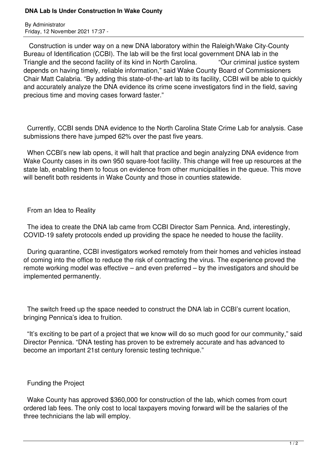## **DNA Lab Is Under Construction In Wake County**

By Administrator Friday, 12 November 2021 17:37 -

 Construction is under way on a new DNA laboratory within the Raleigh/Wake City-County Bureau of Identification (CCBI). The lab will be the first local government DNA lab in the Triangle and the second facility of its kind in North Carolina. "Our criminal justice system depends on having timely, reliable information," said Wake County Board of Commissioners Chair Matt Calabria. "By adding this state-of-the-art lab to its facility, CCBI will be able to quickly and accurately analyze the DNA evidence its crime scene investigators find in the field, saving precious time and moving cases forward faster."

 Currently, CCBI sends DNA evidence to the North Carolina State Crime Lab for analysis. Case submissions there have jumped 62% over the past five years.

 When CCBI's new lab opens, it will halt that practice and begin analyzing DNA evidence from Wake County cases in its own 950 square-foot facility. This change will free up resources at the state lab, enabling them to focus on evidence from other municipalities in the queue. This move will benefit both residents in Wake County and those in counties statewide.

From an Idea to Reality

 The idea to create the DNA lab came from CCBI Director Sam Pennica. And, interestingly, COVID-19 safety protocols ended up providing the space he needed to house the facility.

 During quarantine, CCBI investigators worked remotely from their homes and vehicles instead of coming into the office to reduce the risk of contracting the virus. The experience proved the remote working model was effective – and even preferred – by the investigators and should be implemented permanently.

 The switch freed up the space needed to construct the DNA lab in CCBI's current location, bringing Pennica's idea to fruition.

 "It's exciting to be part of a project that we know will do so much good for our community," said Director Pennica. "DNA testing has proven to be extremely accurate and has advanced to become an important 21st century forensic testing technique."

## Funding the Project

 Wake County has approved \$360,000 for construction of the lab, which comes from court ordered lab fees. The only cost to local taxpayers moving forward will be the salaries of the three technicians the lab will employ.